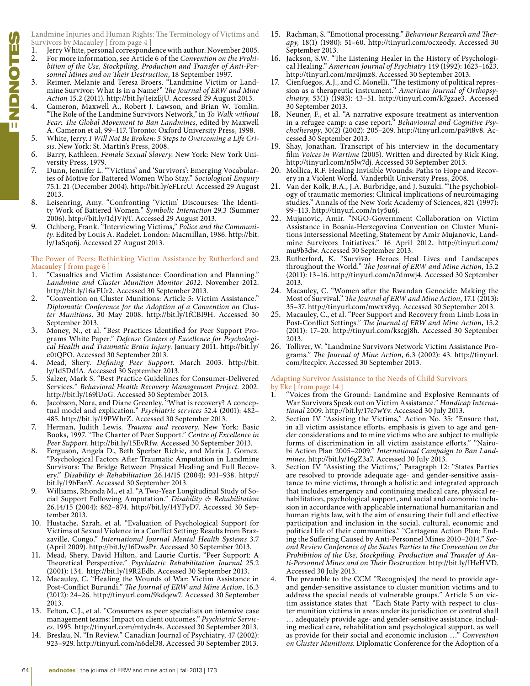Landmine Injuries and Human Rights: The Terminology of Victims and Survivors by Macauley [from page 4 ]<br>1. **Jerry White, personal correspond** 

- Jerry White, personal correspondence with author. November 2005.
- 2. For more information, see Article 6 of the *Convention on the Prohibition of the Use, Stockpiling, Production and Transfer of Anti-Personnel Mines and on Their Destruction*, 18 September 1997.
- 3. Reimer, Melanie and Teresa Broers. "Landmine Victim or Landmine Survivor: What Is in a Name?" *The Journal of ERW and Mine Action* 15.2 (2011). http://bit.ly/1eizEjU. Accessed 29 August 2013.
- Cameron, Maxwell A., Robert J. Lawson, and Brian W. Tomlin. "The Role of the Landmine Survivors Network," in *To Walk without Fear: The Global Movement to Ban Landmines*, edited by Maxwell A. Cameron et al, 99–117. Toronto: Oxford University Press, 1998.
- 5. White, Jerry. *I Will Not Be Broken: 5 Steps to Overcoming a Life Crisis*. New York: St. Martin's Press, 2008.
- 6. Barry, Kathleen. *Female Sexual Slavery*. New York: New York University Press, 1979.
- 7. Dunn, Jennifer L. "'Victims' and 'Survivors': Emerging Vocabularies of Motive for Battered Women Who Stay." *Sociological Enquiry*  75.1. 21 (December 2004). http://bit.ly/eFLrcU. Accessed 29 August 2013.
- 8. Leisenring, Amy. "Confronting 'Victim' Discourses: The Identity Work of Battered Women." *Symbolic Interaction* 29.3 (Summer 2006). http://bit.ly/1dJViyT. Accessed 29 August 2013.
- 9. Ochberg, Frank. "Interviewing Victims," *Police and the Community*. Edited by Louis A. Radelet. London: Macmillan, 1986. http://bit. ly/1aSqo6j. Accessed 27 August 2013.

## The Power of Peers: Rethinking Victim Assistance by Rutherford and Macauley [from page 6]

- 1. "Casualties and Victim Assistance: Coordination and Planning." *Landmine and Cluster Munition Monitor 2012*. November 2012. http://bit.ly/16aFUr2. Accessed 30 September 2013.
- 2. "Convention on Cluster Munitions: Article 5: Victim Assistance." *Diplomatic Conference for the Adoption of a Convention on Cluster Munitions*. 30 May 2008. http://bit.ly/1fCBI9H. Accessed 30 September 2013.
- 3. Money, N., et al. "Best Practices Identified for Peer Support Programs White Paper." *Defense Centers of Excellence for Psychological Health and Traumatic Brain Injury*. January 2011. http://bit.ly/ e0tQPO. Accessed 30 September 2013.
- 4. Mead, Shery. *Defining Peer Support*. March 2003. http://bit. ly/1dSDdfA. Accessed 30 September 2013.
- 5. Salzer, Mark S. "Best Practice Guidelines for Consumer-Delivered Services." *Behavioral Health Recovery Management Project*. 2002. http://bit.ly/169lUoG. Accessed 30 September 2013.
- 6. Jacobson, Nora, and Diane Greenley. "What is recovery? A conceptual model and explication." *Psychiatric services* 52.4 (2001): 482– 485. http://bit.ly/19PWhrZ. Accessed 30 September 2013.
- 7. Herman, Judith Lewis. *Trauma and recovery*. New York: Basic Books, 1997. "The Charter of Peer Support." *Centre of Excellence in Peer Support*. http://bit.ly/15EvRfw. Accessed 30 September 2013.
- 8. Ferguson, Angela D., Beth Sperber Richie, and Maria J. Gomez. "Psychological Factors After Traumatic Amputation in Landmine Survivors: The Bridge Between Physical Healing and Full Recovery." *Disability & Rehabilitation* 26.14/15 (2004): 931–938. http:// bit.ly/19bFanY. Accessed 30 September 2013.
- Williams, Rhonda M., et al. "A Two-Year Longitudinal Study of Social Support Following Amputation." *Disability & Rehabilitation*  26.14/15 (2004): 862–874. http://bit.ly/14YFyD7. Accessed 30 September 2013.
- 10. Hustache, Sarah, et al. "Evaluation of Psychological Support for Victims of Sexual Violence in a Conflict Setting: Results from Brazzaville, Congo." *International Journal Mental Health Systems* 3.7 (April 2009). http://bit.ly/16DwsPr. Accessed 30 September 2013.
- 11. Mead, Shery, David Hilton, and Laurie Curtis. "Peer Support: A Theoretical Perspective." *Psychiatric Rehabilitation Journal* 25.2 (2001): 134. http://bit.ly/19R2Edb. Accessed 30 September 2013.
- 12. Macauley, C. "Healing the Wounds of War: Victim Assistance in Post-Conflict Burundi." *The Journal of ERW and Mine Action*, 16.3 (2012): 24–26. http://tinyurl.com/9kdqew7. Accessed 30 September 2013.
- 13. Felton, C.J., et al. "Consumers as peer specialists on intensive case management teams: Impact on client outcomes." *Psychiatric Services*. 1995. http://tinyurl.com/mtydn4s. Accessed 30 September 2013.
- 14. Breslau, N. "In Review." Canadian Journal of Psychiatry, 47 (2002): 923–929. http://tinyurl.com/n6del38. Accessed 30 September 2013.
- 15. Rachman, S. "Emotional processing." *Behaviour Research and Therapy,* 18(1) (1980): 51–60. http://tinyurl.com/ocxeody. Accessed 30 September 2013.
- 16. Jackson, S.W. "The Listening Healer in the History of Psychological Healing." *American Journal of Psychiatry* 149 (1992): 1623–1623. http://tinyurl.com/mr4jmz8. Accessed 30 September 2013.
- 17. Cienfuegos, A.J., and C. Monelli. "The testimony of political repression as a therapeutic instrument." *American Journal of Orthopsychiatry*, 53(1) (1983): 43–51. http://tinyurl.com/k7gzae3. Accessed 30 September 2013.
- 18. Neuner, F., et al. "A narrative exposure treatment as intervention in a refugee camp: a case report." *Behavioural and Cognitive Psychotherapy*, 30(2) (2002): 205–209. http://tinyurl.com/pa9t8v8. Accessed 30 September 2013.
- 19. Shay, Jonathan. Transcript of his interview in the documentary film *Voices in Wartime* (2005). Written and directed by Rick King. http://tinyurl.com/n5lw7dj. Accessed 30 September 2013.
- 20. Mollica, R.F. Healing Invisible Wounds: Paths to Hope and Recovery in a Violent World. Vanderbilt University Press, 2008.
- 21. Van der Kolk, B.A., J.A. Burbridge, and J. Suzuki. "The psychobiology of traumatic memories: Clinical implications of neuroimaging studies." Annals of the New York Academy of Sciences, 821 (1997): 99–113. http://tinyurl.com/n4y5u6j.
- 22. Mujanovic, Amir. "NGO-Government Collaboration on Victim Assistance in Bosnia-Herzegovina Convention on Cluster Munitions Intersessional Meeting, Statement by Amir Mujanovic, Landmine Survivors Initiatives." 16 April 2012. http://tinyurl.com/ mu9b3dw. Accessed 30 September 2013.
- 23. Rutherford, K. "Survivor Heroes Heal Lives and Landscapes throughout the World." *The Journal of ERW and Mine Action*, 15.2 (2011): 13–16. http://tinyurl.com/n7dmwj4. Accessed 30 September 2013.
- 24. Macauley, C. "Women after the Rwandan Genocide: Making the Most of Survival." *The Journal of ERW and Mine Action*, 17.1 (2013): 35–37. http://tinyurl.com/mwxv8yq. Accessed 30 September 2013.
- 25. Macauley, C., et al. "Peer Support and Recovery from Limb Loss in Post-Conflict Settings." *The Journal of ERW and Mine Action*, 15.2 (2011): 17–20. http://tinyurl.com/kscgj8h. Accessed 30 September 2013.
- 26. Tolliver, W. "Landmine Survivors Network Victim Assistance Programs." *The Journal of Mine Action*, 6.3 (2002): 43. http://tinyurl. com/ltecpkv. Accessed 30 September 2013.

## Adapting Survivor Assistance to the Needs of Child Survivors by Eke [ from page 14 ]

- 1. "Voices from the Ground: Landmine and Explosive Remnants of War Survivors Speak out on Victim Assistance." *Handicap International* 2009. http://bit.ly/17e7wYv. Accessed 30 July 2013.
- 2. Section IV "Assisting the Victims," Action No. 35: "Ensure that, in all victim assistance efforts, emphasis is given to age and gender considerations and to mine victims who are subject to multiple forms of discrimination in all victim assistance efforts." "Nairobi Action Plan 2005–2009." *International Campaign to Ban Landmines*. http://bit.ly/16gZ3a7. Accessed 30 July 2013.
- 3. Section IV "Assisting the Victims," Paragraph 12: "States Parties are resolved to provide adequate age- and gender-sensitive assistance to mine victims, through a holistic and integrated approach that includes emergency and continuing medical care, physical rehabilitation, psychological support, and social and economic inclusion in accordance with applicable international humanitarian and human rights law, with the aim of ensuring their full and effective participation and inclusion in the social, cultural, economic and political life of their communities." "Cartagena Action Plan: Ending the Suffering Caused by Anti-Personnel Mines 2010–2014." *Second Review Conference of the States Parties to the Convention on the Prohibition of the Use, Stockpiling, Production and Transfer of Anti-Personnel Mines and on Their Destruction*. http://bit.ly/fHeHVD. Accessed 30 July 2013.
- The preamble to the CCM "Recognis[es] the need to provide ageand gender-sensitive assistance to cluster munition victims and to address the special needs of vulnerable groups." Article 5 on victim assistance states that "Each State Party with respect to cluster munition victims in areas under its jurisdiction or control shall … adequately provide age- and gender-sensitive assistance, including medical care, rehabilitation and psychological support, as well as provide for their social and economic inclusion …" *Convention on Cluster Munitions*. Diplomatic Conference for the Adoption of a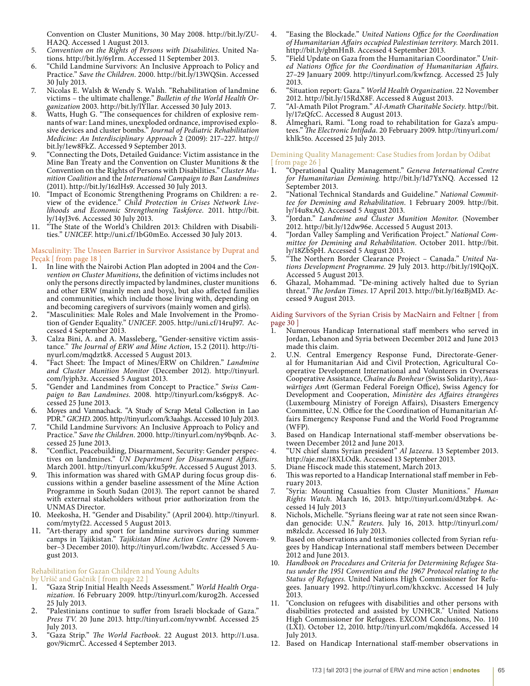Convention on Cluster Munitions, 30 May 2008. http://bit.ly/ZU-HA2Q. Accessed 1 August 2013.

- 5*. Convention on the Rights of Persons with Disabilities*. United Nations. http://bit.ly/6yIrm. Accessed 11 September 2013.
- 6. "Child Landmine Survivors: An Inclusive Approach to Policy and Practice." *Save the Children*. 2000. http://bit.ly/13WQSin. Accessed 30 July 2013.
- 7. Nicolas E. Walsh & Wendy S. Walsh. "Rehabilitation of landmine victims – the ultimate challenge." *Bulletin of the World Health Organization* 2003. http://bit.ly/lYllar. Accessed 30 July 2013.
- 8. Watts, Hugh G. "The consequences for children of explosive remnants of war: Land mines, unexploded ordnance, improvised explosive devices and cluster bombs." *Journal of Pediatric Rehabilitation Medicine: An Interdisciplinary Approach* 2 (2009): 217–227. http:// bit.ly/1ew8FkZ. Accessed 9 September 2013.
- 9. "Connecting the Dots, Detailed Guidance: Victim assistance in the Mine Ban Treaty and the Convention on Cluster Munitions & the Convention on the Rights of Persons with Disabilities." *Cluster Munition Coalition* and the *International Campaign to Ban Landmines* (2011). http://bit.ly/16zlHs9. Accessed 30 July 2013.
- 10. "Impact of Economic Strengthening Programs on Children: a review of the evidence." *Child Protection in Crises Network Livelihoods and Economic Strengthening Taskforce.* 2011. http://bit. ly/14yJ3v6. Accessed 30 July 2013.
- 11. "The State of the World's Children 2013: Children with Disabilities." *UNICEF*. http://uni.cf/1bG0mEo. Accessed 30 July 2013.

### Masculinity: The Unseen Barrier in Survivor Assistance by Duprat and Peçak [ from page 18

- 1. In line with the Nairobi Action Plan adopted in 2004 and the *Convention on Cluster Munitions*, the definition of victims includes not only the persons directly impacted by landmines, cluster munitions and other ERW (mainly men and boys), but also affected families and communities, which include those living with, depending on and becoming caregivers of survivors (mainly women and girls).
- 2. "Masculinities: Male Roles and Male Involvement in the Promotion of Gender Equality." *UNICEF*. 2005. http://uni.cf/14ruJ97. Accessed 4 September 2013.
- 3. Calza Bini, A. and A. Massleberg, "Gender-sensitive victim assistance." *The Journal of ERW and Mine Action*, 15.2 (2011). http://tinyurl.com/mqdztk8. Accessed 5 August 2013.
- 4. "Fact Sheet: The Impact of Mines/ERW on Children." *Landmine and Cluster Munition Monitor* (December 2012). http://tinyurl. com/lyjph3z. Accessed 5 August 2013.
- 5. "Gender and Landmines from Concept to Practice." *Swiss Campaign to Ban Landmines*. 2008. http://tinyurl.com/ks6gpy8. Accessed 25 June 2013.
- 6. Moyes and Vannachack. "A Study of Scrap Metal Collection in Lao PDR." *GICHD*. 2005. http://tinyurl.com/k3aahgs. Accessed 10 July 2013.
- 7. "Child Landmine Survivors: An Inclusive Approach to Policy and Practice." *Save the Children*. 2000. http://tinyurl.com/ny9bqnb. Accessed 25 June 2013.
- 8. "Conflict, Peacebuilding, Disarmament, Security: Gender perspectives on landmines." *UN Department for Disarmament Affairs.* March 2001. http://tinyurl.com/kku5p9r. Accessed 5 August 2013.
- 9. This information was shared with GMAP during focus group discussions within a gender baseline assessment of the Mine Action Programme in South Sudan (2013). The report cannot be shared with external stakeholders without prior authorization from the UNMAS Director.
- 10. Meekosha, H. "Gender and Disability." (April 2004). http://tinyurl. com/mytyf22. Accessed 5 August 2013.
- 11. "Art-therapy and sport for landmine survivors during summer camps in Tajikistan." *Tajikistan Mine Action Centre* (29 November–3 December 2010). http://tinyurl.com/lwzbdtc. Accessed 5 August 2013.

#### Rehabilitation for Gazan Children and Young Adults by Uršič and Gačnik [ from page 22

- 1. "Gaza Strip Initial Health Needs Assessment." *World Health Organization*. 16 February 2009. http://tinyurl.com/kurog2h. Accessed 25 July 2013.
- 2. "Palestinians continue to suffer from Israeli blockade of Gaza." *Press TV*. 20 June 2013. http://tinyurl.com/nyvwnbf. Accessed 25 July 2013.
- 3. "Gaza Strip." *The World Factbook*. 22 August 2013. http://1.usa. gov/9icmrC. Accessed 4 September 2013.
- 4. "Easing the Blockade." *United Nations Office for the Coordination of Humanitarian Affairs occupied Palestinian territory.* March 2011. http://bit.ly/gbmHnB. Accessed 4 September 2013.
- 5. "Field Update on Gaza from the Humanitarian Coordinator." *United Nations Office for the Coordination of Humanitarian Affairs*. 27–29 January 2009. http://tinyurl.com/kwfzncg. Accessed 25 July 2013.
- 6. "Situation report: Gaza." *World Health Organization*. 22 November 2012. http://bit.ly/15RdX8F. Accessed 8 August 2013.
- 7. "Al-Amath Pilot Program." *Al-Amath Charitable Society.* http://bit. ly/17zQfcC. Accessed 8 August 2013.
- 8. Almeghari, Rami. "Long road to rehabilitation for Gaza's amputees." *The Electronic Intifada*. 20 February 2009. http://tinyurl.com/ khlk5to. Accessed 25 July 2013.

# Demining Quality Management: Case Studies from Jordan by Odibat [ from page 26 ]<br>1. **Condition**

- 1. "Operational Quality Management." *Geneva International Centre for Humanitarian Demining*. http://bit.ly/1d7YxNQ. Accessed 12 September 2013.
- 2. "National Technical Standards and Guideline." *National Committee for Demining and Rehabilitation*. 1 February 2009. http://bit. ly/14u8xAQ. Accessed 5 August 2013.
- 3. "Jordan." *Landmine and Cluster Munition Monitor.* (November 2012. http://bit.ly/12dw96e. Accessed 5 August 2013.
- 4. "Jordan Valley Sampling and Verification Project." *National Committee for Demining and Rehabilitation*. October 2011. http://bit. ly/18ZbSpH. Accessed 5 August 2013.
- 5. "The Northern Border Clearance Project Canada." *United Nations Development Programme*. 29 July 2013. http://bit.ly/19IQojX. Accessed 5 August 2013.
- 6. Ghazal, Mohammad. "De-mining actively halted due to Syrian threat." *The Jordan Times*. 17 April 2013. http://bit.ly/16zBjMD. Accessed 9 August 2013.

## Aiding Survivors of the Syrian Crisis by MacNairn and Feltner [ from page 30 ]

- Numerous Handicap International staff members who served in Jordan, Lebanon and Syria between December 2012 and June 2013 made this claim.
- 2. U.N. Central Emergency Response Fund, Directorate-General for Humanitarian Aid and Civil Protection, Agricultural Cooperative Development International and Volunteers in Overseas Cooperative Assistance, *Chaîne du Bonheur* (Swiss Solidarity), *Auswärtiges Am*t (German Federal Foreign Office), Swiss Agency for Development and Cooperation, *Ministère des Affaires étrangères* (Luxembourg Ministry of Foreign Affairs), Disasters Emergency Committee, U.N. Office for the Coordination of Humanitarian Affairs Emergency Response Fund and the World Food Programme (WFP).
- 3. Based on Handicap International staff-member observations between December 2012 and June 2013.
- 4. "UN chief slams Syrian president" *Al Jazeera*. 13 September 2013. http://aje.me/18XLOdk. Accessed 13 September 2013.
- 5. Diane Hiscock made this statement, March 2013.
- 6. This was reported to a Handicap International staff member in February 2013.
- 7. "Syria: Mounting Casualties from Cluster Munitions." *Human Rights Watch*. March 16, 2013. http://tinyurl.com/d3tzbp4. Accessed 14 July 2013
- 8. Nichols, Michelle. "Syrians fleeing war at rate not seen since Rwandan genocide: U.N." *Reuters*. July 16, 2013. http://tinyurl.com/ m8zlcdz. Accessed 16 July 2013.
- 9. Based on observations and testimonies collected from Syrian refugees by Handicap International staff members between December 2012 and June 2013.
- 10*. Handbook on Procedures and Criteria for Determining Refugee Status under the 1951 Convention and the 1967 Protocol relating to the Status of Refugees*. United Nations High Commissioner for Refugees. January 1992. http://tinyurl.com/khxckvc. Accessed 14 July 2013.
- 11. "Conclusion on refugees with disabilities and other persons with disabilities protected and assisted by UNHCR." United Nations High Commissioner for Refugees. EXCOM Conclusions, No. 110 (LXI). October 12, 2010. http://tinyurl.com/mqkd6fa. Accessed 14 July 2013.
- 12. Based on Handicap International staff-member observations in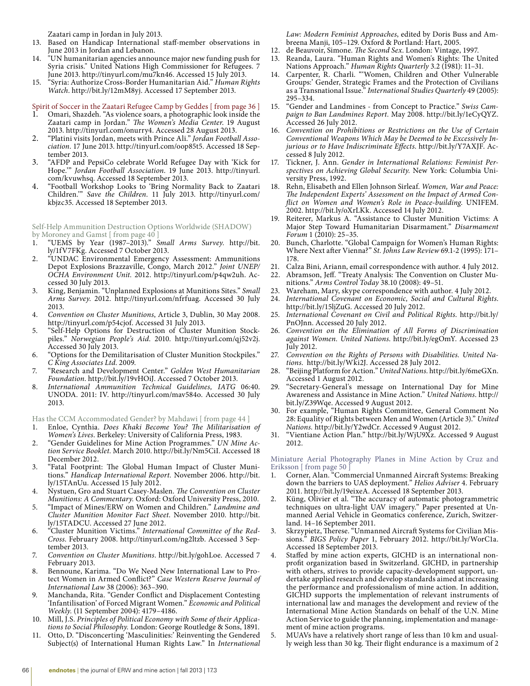Zaatari camp in Jordan in July 2013.

- 13. Based on Handicap International staff-member observations in June 2013 in Jordan and Lebanon.
- "UN humanitarian agencies announce major new funding push for Syria crisis." United Nations High Commissioner for Refugees. 7 June 2013. http://tinyurl.com/mu7kn46. Accessed 15 July 2013.
- 15. "Syria: Authorize Cross-Border Humanitarian Aid." *Human Rights Watch*. http://bit.ly/12mM8yj. Accessed 17 September 2013.

Spirit of Soccer in the Zaatari Refugee Camp by Geddes [ from page 36 ]

- 1. Omari, Shazdeh. "As violence soars, a photographic look inside the Zaatari camp in Jordan." *The Women's Media Center*. 19 August 2013. http://tinyurl.com/onurry4. Accessed 28 August 2013.
- 2. "Platini visits Jordan, meets with Prince Ali." *Jordan Football Association*. 17 June 2013. http://tinyurl.com/oop85t5. Accessed 18 September 2013.
- 3. "AFDP and PepsiCo celebrate World Refugee Day with 'Kick for Hope.'" *Jordan Football Association*. 19 June 2013. http://tinyurl. com/kvuwhsq. Accessed 18 September 2013.
- 4. "Football Workshop Looks to 'Bring Normality Back to Zaatari Children.'" *Save the Children*. 11 July 2013. http://tinyurl.com/ kbjzc35. Accessed 18 September 2013.

Self-Help Ammunition Destruction Options Worldwide (SHADOW) by Moroney and Gamst [ from page 40 ]

- 1. "UEMS by Year (1987–2013)." *Small Arms Survey.* http://bit. ly/1fV7FKg. Accessed 7 October 2013.
- 2. "UNDAC Environmental Emergency Assessment: Ammunitions Depot Explosions Brazzaville, Congo, March 2012." *Joint UNEP/ OCHA Environment Unit.* 2012. http://tinyurl.com/p4qw2uh. Accessed 30 July 2013.
- 3. King, Benjamin. "Unplanned Explosions at Munitions Sites." *Small Arms Survey*. 2012. http://tinyurl.com/nfrfuag. Accessed 30 July 2013.
- 4. *Convention on Cluster Munitions*, Article 3, Dublin, 30 May 2008. http://tinyurl.com/p54cjof. Accessed 31 July 2013.
- 5. "Self-Help Options for Destruction of Cluster Munition Stockpiles." *Norwegian People's Aid*. 2010. http://tinyurl.com/qj52v2j. Accessed 30 July 2013.
- 6. "Options for the Demilitarisation of Cluster Munition Stockpiles." *C King Associates Ltd*. 2009.
- 7. "Research and Development Center." *Golden West Humanitarian Foundation*. http://bit.ly/19vHOiJ. Accessed 7 October 2013.
- 8. *International Ammunition Technical Guidelines, IATG* 06:40. UNODA. 2011: IV. http://tinyurl.com/mav584o. Accessed 30 July 2013.

Has the CCM Accommodated Gender? by Mahdawi [ from page 44 ]

- 1. Enloe, Cynthia. *Does Khaki Become You? The Militarisation of Women's Lives*. Berkeley: University of California Press, 1983.
- 2. "Gender Guidelines for Mine Action Programmes." *UN Mine Action Service Booklet.* March 2010. http://bit.ly/Nm5CiI. Accessed 18 December 2012.
- 3. "Fatal Footprint: The Global Human Impact of Cluster Munitions." *Handicap International Report.* November 2006. http://bit. ly/15TAnUu. Accessed 15 July 2012.
- 4. Nystuen, Gro and Stuart Casey-Maslen. *The Convention on Cluster Munitions: A Commentary.* Oxford: Oxford University Press, 2010.
- 5. "Impact of Mines/ERW on Women and Children." *Landmine and Cluster Munition Monitor Fact Sheet*. November 2010. http://bit. ly/15TADCU. Accessed 27 June 2012.
- 6. "Cluster Munition Victims." *International Committee of the Red-Cross*. February 2008. http://tinyurl.com/ng2ltzb. Accessed 3 September 2013.
- 7. *Convention on Cluster Munitions*. http://bit.ly/gohLoe. Accessed 7 February 2013.
- 8. Bennoune, Karima. "Do We Need New International Law to Protect Women in Armed Conflict?" *Case Western Reserve Journal of International Law* 38 (2006): 363–390.
- 9. Manchanda, Rita. "Gender Conflict and Displacement Contesting 'Infantilisation' of Forced Migrant Women." *Economic and Political Weekly.* (11 September 2004): 4179–4186.
- 10. Mill, J.S. *Principles of Political Economy with Some of their Applications to Social Philosophy.* London: George Routledge & Sons, 1891.
- 11. Otto, D. "Disconcerting 'Masculinities:' Reinventing the Gendered Subject(s) of International Human Rights Law." In *International*

*Law: Modern Feminist Approaches*, edited by Doris Buss and Ambreena Manji, 105–129. Oxford & Portland: Hart, 2005.

- 12. de Beauvoir, Simone. *The Second Sex*. London: Vintage, 1997.
- 13. Reanda, Laura. "Human Rights and Women's Rights: The United Nations Approach." *Human Rights Quarterly* 3.2 (1981): 11-31.
- 14. Carpenter, R. Charli. "'Women, Children and Other Vulnerable Groups:' Gender, Strategic Frames and the Protection of Civilians as a Transnational Issue." *International Studies Quarterly* 49 (2005): 295–334.
- 15. "Gender and Landmines from Concept to Practice." *Swiss Campaign to Ban Landmines Report.* May 2008. http://bit.ly/1eCyQYZ. Accessed 26 July 2012.
- 16. *Convention on Prohibitions or Restrictions on the Use of Certain Conventional Weapons Which May be Deemed to be Excessively Injurious or to Have Indiscriminate Effects*. http://bit.ly/Y7AXJF. Accessed 8 July 2012.
- 17. Tickner, J. Ann. *Gender in International Relations: Feminist Perspectives on Achieving Global Security.* New York: Columbia University Press, 1992.
- 18. Rehn, Elisabeth and Ellen Johnson Sirleaf. *Women, War and Peace: The Independent Experts' Assessment on the Impact of Armed Conflict on Women and Women's Role in Peace-building*. UNIFEM. 2002. http://bit.ly/oXrLKk. Accessed 14 July 2012.
- 19. Reiterer, Markus A. "Assistance to Cluster Munition Victims: A Major Step Toward Humanitarian Disarmament." *Disarmament Forum* 1 (2010): 25–35.
- 20. Bunch, Charlotte. "Global Campaign for Women's Human Rights: Where Next after Vienna?" *St. Johns Law Review* 69.1-2 (1995): 171– 178.
- 21. Calza Bini, Ariann, email correspondence with author. 4 July 2012.
- Abramson, Jeff. "Treaty Analysis: The Convention on Cluster Munitions." *Arms Control Today* 38.10 (2008): 49–51.
- 23. Wareham, Mary, skype correspondence with author. 4 July 2012.
- 24*. International Covenant on Economic, Social and Cultural Rights*. http://bit.ly/15ljZuG. Accessed 20 July 2012.
- 25. *International Covenant on Civil and Political Rights*. http://bit.ly/ PnOJnn. Accessed 20 July 2012.
- 26*. Convention on the Elimination of All Forms of Discrimination against Women. United Nations*. http://bit.ly/egOmY. Accessed 23 July 2012.
- 27*. Convention on the Rights of Persons with Disabilities. United Nations*. http://bit.ly/Wki2J. Accessed 28 July 2012.
- 28. "Beijing Platform for Action." *United Nations.* http://bit.ly/6meGXn. Accessed 1 August 2012.
- 29. "Secretary-General's message on International Day for Mine Awareness and Assistance in Mine Action." *United Nations*. http:// bit.ly/Z39Wqe. Accessed 9 August 2012.
- 30. For example, "Human Rights Committee, General Comment No 28: Equality of Rights between Men and Women (Article 3)." *United Nations.* http://bit.ly/Y2wdCr. Accessed 9 August 2012.
- 31. "Vientiane Action Plan." http://bit.ly/WjU9Xz. Accessed 9 August 2012.

Miniature Aerial Photography Planes in Mine Action by Cruz and Eriksson [ from page 50 ]

- 1. Corner, Alan. "Commercial Unmanned Aircraft Systems: Breaking down the barriers to UAS deployment." *Helios Adviser* 4. February 2011. http://bit.ly/19eixeA. Accessed 18 September 2013.
- 2. Küng, Olivier et al. "The accuracy of automatic photogrammetric techniques on ultra-light UAV imagery." Paper presented at Unmanned Aerial Vehicle in Geomatics conference, Zurich, Switzerland. 14–16 September 2011.
- 3. Skrzypietz, Therese. "Unmanned Aircraft Systems for Civilian Missions." *BIGS Policy Paper* 1, February 2012. http://bit.ly/WorC1a. Accessed 18 September 2013.
- Staffed by mine action experts, GICHD is an international nonprofit organization based in Switzerland. GICHD, in partnership with others, strives to provide capacity-development support, undertake applied research and develop standards aimed at increasing the performance and professionalism of mine action. In addition, GICHD supports the implementation of relevant instruments of international law and manages the development and review of the International Mine Action Standards on behalf of the U.N. Mine Action Service to guide the planning, implementation and management of mine action programs.
- 5. MUAVs have a relatively short range of less than 10 km and usually weigh less than 30 kg. Their flight endurance is a maximum of 2